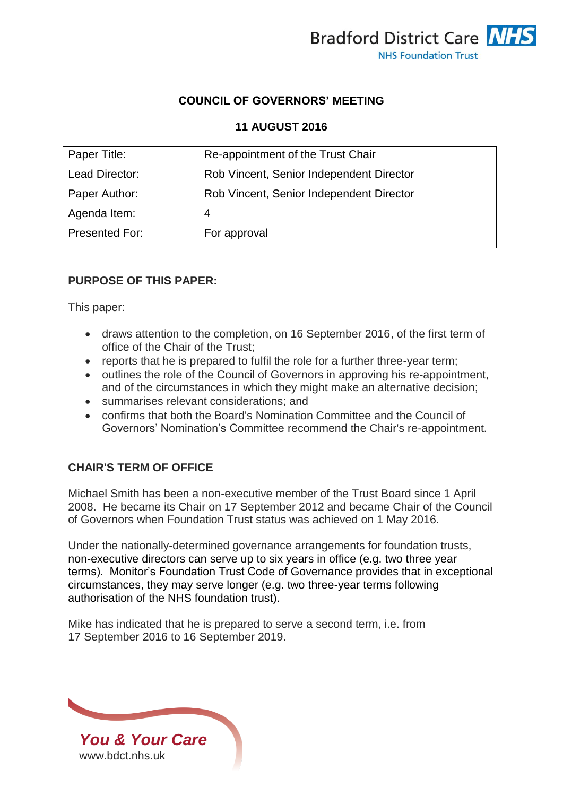

### **COUNCIL OF GOVERNORS' MEETING**

#### **11 AUGUST 2016**

| Paper Title:   | Re-appointment of the Trust Chair        |
|----------------|------------------------------------------|
| Lead Director: | Rob Vincent, Senior Independent Director |
| Paper Author:  | Rob Vincent, Senior Independent Director |
| Agenda Item:   | 4                                        |
| Presented For: | For approval                             |
|                |                                          |

#### **PURPOSE OF THIS PAPER:**

This paper:

- draws attention to the completion, on 16 September 2016, of the first term of office of the Chair of the Trust;
- reports that he is prepared to fulfil the role for a further three-year term;
- outlines the role of the Council of Governors in approving his re-appointment, and of the circumstances in which they might make an alternative decision;
- summarises relevant considerations; and
- confirms that both the Board's Nomination Committee and the Council of Governors' Nomination's Committee recommend the Chair's re-appointment.

### **CHAIR'S TERM OF OFFICE**

Michael Smith has been a non-executive member of the Trust Board since 1 April 2008. He became its Chair on 17 September 2012 and became Chair of the Council of Governors when Foundation Trust status was achieved on 1 May 2016.

Under the nationally-determined governance arrangements for foundation trusts, non-executive directors can serve up to six years in office (e.g. two three year terms). Monitor's Foundation Trust Code of Governance provides that in exceptional circumstances, they may serve longer (e.g. two three-year terms following authorisation of the NHS foundation trust).

Mike has indicated that he is prepared to serve a second term, i.e. from 17 September 2016 to 16 September 2019.

*You & Your Care* [www.bdct.nhs.uk](http://www.bdct.nhs.uk/)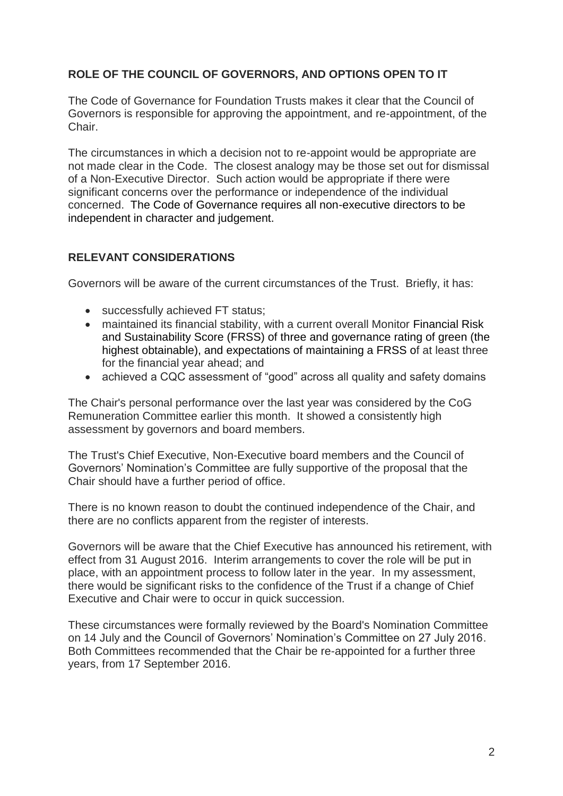# **ROLE OF THE COUNCIL OF GOVERNORS, AND OPTIONS OPEN TO IT**

The Code of Governance for Foundation Trusts makes it clear that the Council of Governors is responsible for approving the appointment, and re-appointment, of the Chair.

The circumstances in which a decision not to re-appoint would be appropriate are not made clear in the Code. The closest analogy may be those set out for dismissal of a Non-Executive Director. Such action would be appropriate if there were significant concerns over the performance or independence of the individual concerned. The Code of Governance requires all non-executive directors to be independent in character and judgement.

### **RELEVANT CONSIDERATIONS**

Governors will be aware of the current circumstances of the Trust. Briefly, it has:

- successfully achieved FT status:
- maintained its financial stability, with a current overall Monitor Financial Risk and Sustainability Score (FRSS) of three and governance rating of green (the highest obtainable), and expectations of maintaining a FRSS of at least three for the financial year ahead; and
- achieved a CQC assessment of "good" across all quality and safety domains

The Chair's personal performance over the last year was considered by the CoG Remuneration Committee earlier this month. It showed a consistently high assessment by governors and board members.

The Trust's Chief Executive, Non-Executive board members and the Council of Governors' Nomination's Committee are fully supportive of the proposal that the Chair should have a further period of office.

There is no known reason to doubt the continued independence of the Chair, and there are no conflicts apparent from the register of interests.

Governors will be aware that the Chief Executive has announced his retirement, with effect from 31 August 2016. Interim arrangements to cover the role will be put in place, with an appointment process to follow later in the year. In my assessment, there would be significant risks to the confidence of the Trust if a change of Chief Executive and Chair were to occur in quick succession.

These circumstances were formally reviewed by the Board's Nomination Committee on 14 July and the Council of Governors' Nomination's Committee on 27 July 2016. Both Committees recommended that the Chair be re-appointed for a further three years, from 17 September 2016.